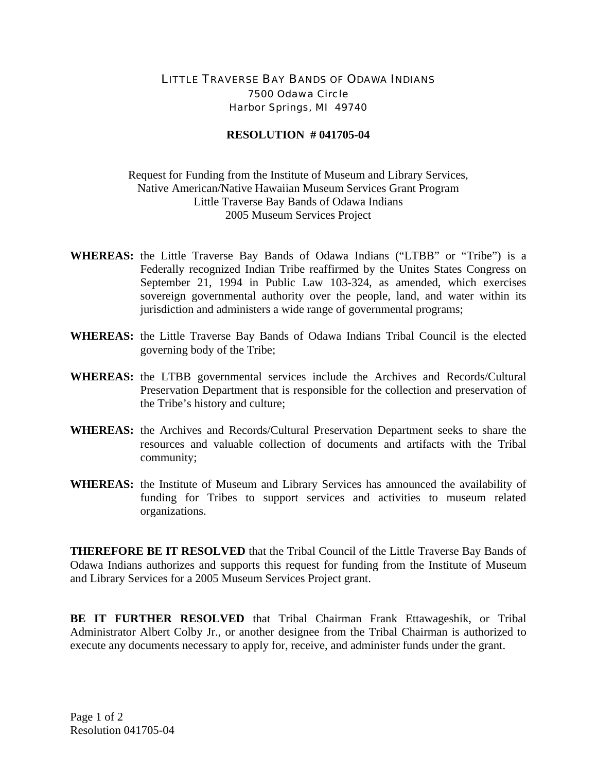## LITTLE TRAVERSE BAY BANDS OF ODAWA INDIANS 7500 Odawa Circle Harbor Springs, MI 49740

## **RESOLUTION # 041705-04**

## Request for Funding from the Institute of Museum and Library Services, Native American/Native Hawaiian Museum Services Grant Program Little Traverse Bay Bands of Odawa Indians 2005 Museum Services Project

- **WHEREAS:** the Little Traverse Bay Bands of Odawa Indians ("LTBB" or "Tribe") is a Federally recognized Indian Tribe reaffirmed by the Unites States Congress on September 21, 1994 in Public Law 103-324, as amended, which exercises sovereign governmental authority over the people, land, and water within its jurisdiction and administers a wide range of governmental programs;
- **WHEREAS:** the Little Traverse Bay Bands of Odawa Indians Tribal Council is the elected governing body of the Tribe;
- **WHEREAS:** the LTBB governmental services include the Archives and Records/Cultural Preservation Department that is responsible for the collection and preservation of the Tribe's history and culture;
- **WHEREAS:** the Archives and Records/Cultural Preservation Department seeks to share the resources and valuable collection of documents and artifacts with the Tribal community;
- **WHEREAS:** the Institute of Museum and Library Services has announced the availability of funding for Tribes to support services and activities to museum related organizations.

**THEREFORE BE IT RESOLVED** that the Tribal Council of the Little Traverse Bay Bands of Odawa Indians authorizes and supports this request for funding from the Institute of Museum and Library Services for a 2005 Museum Services Project grant.

**BE IT FURTHER RESOLVED** that Tribal Chairman Frank Ettawageshik, or Tribal Administrator Albert Colby Jr., or another designee from the Tribal Chairman is authorized to execute any documents necessary to apply for, receive, and administer funds under the grant.